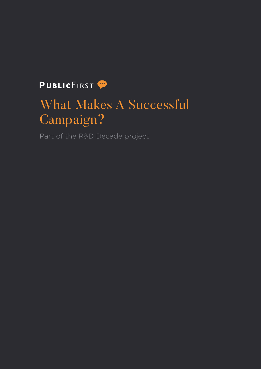### PUBLICFIRST<sup>9</sup>

# What Makes A Successful Campaign?

Part of the R&D Decade project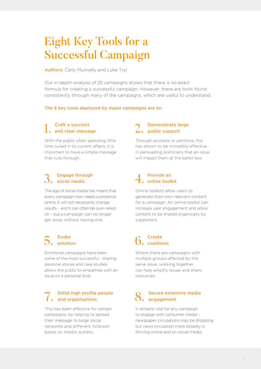## Eight Key Tools for a Successful Campaign

**Authors:** Carly Munnelly and Luke Tryl

Our in-depth analysis of 25 campaigns shows that there is no exact formula for creating a successful campaign. However, there are tools found consistently through many of the campaigns, which are useful to understand.

#### The 8 key tools deployed by major campaigns are to:

## 1. Craft a succinct and clear message

With the public often spending little time tuned in to current affairs, it is important to have a simple message that cuts through.

#### **Engage through** social media

The age of social media has meant that every campaign now needs a presence online. It will not necessarily change results – and it can often be over-relied on – but a campaign can no longer get away without having one.

### 5. Evoke<br>5. emotion

Emotional campaigns have been some of the most successful - sharing personal stories and case studies allows the public to empathise with an issue on a personal level.

### Enlist high profile people and organisations

This has been effective for certain campaigns, by helping to spread their message to large social networks and different follower bases or media outlets.

### 2. Demonstrate large<br>2. public support

Through protests or petitions, this has shown to be incredibly effective in persuading politicians that an issue will impact them at the ballot box.

### $4.$  Provide an online toolkit

Online toolkits allow users to generate their own relevant content for a campaign. An online toolkit can increase user engagement and allow content to be shared organically by supporters.

## 6. Create coalitions

Where there are campaigns with multiple groups affected by the same issue, working together can help amplify issues and share resources.

### 8. Secure extensive media engagement

It remains vital for any campaign to engage with consumer media – newspaper circulations may be dropping but news circulation more broadly is thriving online and on social media.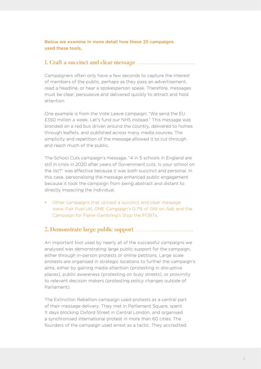#### Below we examine in more detail how these 25 campaigns used these tools.

### 1. Craft a succinct and clear message

Campaigners often only have a few seconds to capture the interest of members of the public, perhaps as they pass an advertisement, read a headline, or hear a spokesperson speak. Therefore, messages must be clear, persuasive and delivered quickly to attract and hold attention.

One example is from the Vote Leave campaign: "We send the EU £350 million a week. Let's fund our NHS instead." This message was branded on a red bus driven around the country, delivered to homes through leaflets, and published across many media sources. The simplicity and repetition of the message allowed it to cut-through and reach much of the public.

The School Cuts campaign's message, "4 in 5 schools in England are still in crisis in 2020 after years of Government cuts. Is your school on the list?" was effective because it was both succinct and personal. In this case, personalising the message enhanced public engagement because it took the campaign from being abstract and distant to directly impacting the individual.

• Other campaigns that utilised a succinct and clear message were: Fair Fuel UK; ONE Campaign's 0.7% of GNI on Aid; and the Campaign for Fairer Gambling's Stop the FOBTs.

### 2. Demonstrate large public support

An important tool used by nearly all of the successful campaigns we analysed was demonstrating large public support for the campaign, either through in-person protests or online petitions. Large scale protests are organised in strategic locations to further the campaign's aims, either by gaining media attention (protesting in disruptive places), public awareness (protesting on busy streets), or proximity to relevant decision makers (protesting policy changes outside of Parliament).

The Extinction Rebellion campaign used protests as a central part of their message delivery. They met in Parliament Square, spent 11 days blocking Oxford Street in Central London, and organised a synchronised international protest in more than 60 cities. The founders of the campaign used arrest as a tactic. They accredited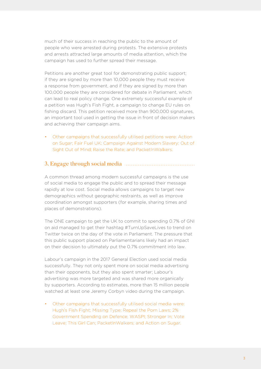much of their success in reaching the public to the amount of people who were arrested during protests. The extensive protests and arrests attracted large amounts of media attention, which the campaign has used to further spread their message.

Petitions are another great tool for demonstrating public support; if they are signed by more than 10,000 people they must receive a response from government, and if they are signed by more than 100,000 people they are considered for debate in Parliament, which can lead to real policy change. One extremely successful example of a petition was Hugh's Fish Fight, a campaign to change EU rules on fishing discard. This petition received more than 900,000 signatures, an important tool used in getting the issue in front of decision makers and achieving their campaign aims.

• Other campaigns that successfully utilised petitions were: Action on Sugar; Fair Fuel UK; Campaign Against Modern Slavery; Out of Sight Out of Mind; Raise the Rate; and PacketInWalkers.

#### 3. Engage through social media

A common thread among modern successful campaigns is the use of social media to engage the public and to spread their message rapidly at low cost. Social media allows campaigns to target new demographics without geographic restraints, as well as improve coordination amongst supporters (for example, sharing times and places of demonstrations).

The ONE campaign to get the UK to commit to spending 0.7% of GNI on aid managed to get their hashtag #TurnUpSaveLives to trend on Twitter twice on the day of the vote in Parliament. The pressure that this public support placed on Parliamentarians likely had an impact on their decision to ultimately put the 0.7% commitment into law.

Labour's campaign in the 2017 General Election used social media successfully. They not only spent more on social media advertising than their opponents, but they also spent smarter; Labour's advertising was more targeted and was shared more organically by supporters. According to estimates, more than 15 million people watched at least one Jeremy Corbyn video during the campaign.

• Other campaigns that successfully utilised social media were: Hugh's Fish Fight; Missing Type; Repeal the Porn Laws; 2% Government Spending on Defence; WASPI; Stronger In; Vote Leave; This Girl Can; PacketInWalkers; and Action on Sugar.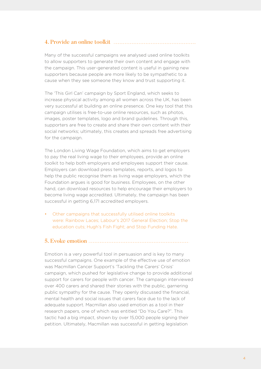### 4. Provide an online toolkit

Many of the successful campaigns we analysed used online toolkits to allow supporters to generate their own content and engage with the campaign. This user-generated content is useful in gaining new supporters because people are more likely to be sympathetic to a cause when they see someone they know and trust supporting it.

The 'This Girl Can' campaign by Sport England, which seeks to increase physical activity among all women across the UK, has been very successful at building an online presence. One key tool that this campaign utilises is free-to-use online resources, such as photos, images, poster templates, logo and brand guidelines. Through this, supporters are free to create and share their own content with their social networks; ultimately, this creates and spreads free advertising for the campaign.

The London Living Wage Foundation, which aims to get employers to pay the real living wage to their employees, provide an online toolkit to help both employers and employees support their cause. Employers can download press templates, reports, and logos to help the public recognise them as living wage employers, which the Foundation argues is good for business. Employees, on the other hand, can download resources to help encourage their employers to become living wage accredited. Ultimately, the campaign has been successful in getting 6,171 accredited employers.

• Other campaigns that successfully utilised online toolkits were: Rainbow Laces; Labour's 2017 General Election; Stop the education cuts; Hugh's Fish Fight; and Stop Funding Hate.

### 5. Evoke emotion

Emotion is a very powerful tool in persuasion and is key to many successful campaigns. One example of the effective use of emotion was Macmillan Cancer Support's 'Tackling the Carers' Crisis' campaign, which pushed for legislative change to provide additional support for carers for people with cancer. The campaign interviewed over 400 carers and shared their stories with the public, garnering public sympathy for the cause. They openly discussed the financial, mental health and social issues that carers face due to the lack of adequate support. Macmillan also used emotion as a tool in their research papers, one of which was entitled "Do You Care?". This tactic had a big impact, shown by over 15,000 people signing their petition. Ultimately, Macmillan was successful in getting legislation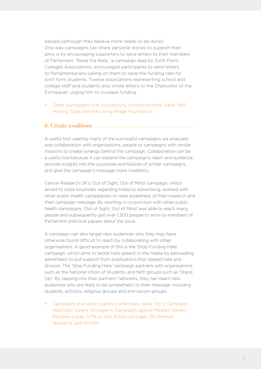passed (although they believe more needs to be done). One way campaigns can share personal stories to support their aims is by encouraging supporters to send letters to their members of Parliament. 'Raise the Rate,' a campaign lead by Sixth Form Colleges Associations, encouraged participants to send letters to Parliamentarians calling on them to raise the funding rate for sixth form students. Twelve associations representing school and college staff and students also wrote letters to the Chancellor of the Exchequer, urging him to increase funding.

• Other campaigns that successfully utilised emotion were: NHS Missing Type and the Living Wage Foundation.

#### 6. Create coalitions

A useful tool used by many of the successful campaigns we analysed was collaboration with organisations, people or campaigns with similar missions to create synergy behind the campaign. Collaboration can be a useful tool because it can expand the campaign's reach and audience, provide insights into the successes and failures of similar campaigns, and give the campaign's message more credibility.

Cancer Research UK's 'Out of Sight, Out of Mind' campaign, which aimed to close loopholes regarding tobacco advertising, worked with other public health campaigners to raise awareness of their research and their campaign message. By working in conjunction with other public health campaigns, 'Out of Sight, Out of Mind' was able to reach many people and subsequently got over 1,300 people to write to members of Parliament and local papers about the issue.

A campaign can also target new audiences who they may have otherwise found difficult to reach by collaborating with other organisations. A good example of this is the 'Stop Funding Hate' campaign, which aims to tackle hate speech in the media by persuading advertisers to pull support from publications that spread hate and division. The 'Stop Funding Hate' campaign partners with organisations such as the National Union of Students, and faith groups such as 'Stand Up!'. By tapping into their partners' networks, they can reach new audiences who are likely to be sympathetic to their message, including students, activists, religious groups and anti-racism groups.

• Campaigns that used coalitions effectively were: Tier 2 Campaign; Macmillan Carers; Stronger In; Campaign against Modern Slavery; Rainbow Laces; 0.7% on Aid; Action on Sugar; 2% Defence Spending; and WASPI.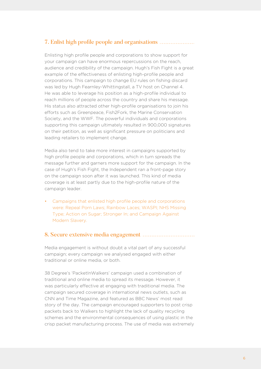### 7. Enlist high profile people and organisations

Enlisting high profile people and corporations to show support for your campaign can have enormous repercussions on the reach, audience and credibility of the campaign. Hugh's Fish Fight is a great example of the effectiveness of enlisting high-profile people and corporations. This campaign to change EU rules on fishing discard was led by Hugh Fearnley-Whittingstall, a TV host on Channel 4. He was able to leverage his position as a high-profile individual to reach millions of people across the country and share his message. His status also attracted other high-profile organisations to join his efforts such as Greenpeace, Fish2Fork, the Marine Conservation Society, and the WWF. The powerful individuals and corporations supporting this campaign ultimately resulted in 900,000 signatures on their petition, as well as significant pressure on politicians and leading retailers to implement change.

Media also tend to take more interest in campaigns supported by high profile people and corporations, which in turn spreads the message further and garners more support for the campaign. In the case of Hugh's Fish Fight, the Independent ran a front-page story on the campaign soon after it was launched. This kind of media coverage is at least partly due to the high-profile nature of the campaign leader.

• Campaigns that enlisted high profile people and corporations were: Repeal Porn Laws; Rainbow Laces; WASPI; NHS Missing Type; Action on Sugar; Stronger In; and Campaign Against Modern Slavery.

#### 8. Secure extensive media engagement

Media engagement is without doubt a vital part of any successful campaign; every campaign we analysed engaged with either traditional or online media, or both.

38 Degree's 'PacketInWalkers' campaign used a combination of traditional and online media to spread its message. However, it was particularly effective at engaging with traditional media. The campaign secured coverage in international news outlets, such as CNN and Time Magazine, and featured as BBC News' most read story of the day. The campaign encouraged supporters to post crisp packets back to Walkers to highlight the lack of quality recycling schemes and the environmental consequences of using plastic in the crisp packet manufacturing process. The use of media was extremely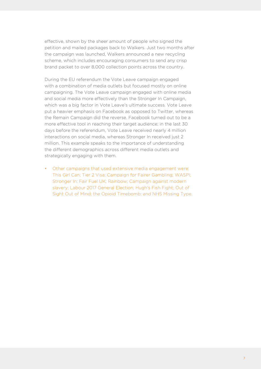effective, shown by the sheer amount of people who signed the petition and mailed packages back to Walkers. Just two months after the campaign was launched, Walkers announced a new recycling scheme, which includes encouraging consumers to send any crisp brand packet to over 8,000 collection points across the country.

During the EU referendum the Vote Leave campaign engaged with a combination of media outlets but focused mostly on online campaigning. The Vote Leave campaign engaged with online media and social media more effectively than the Stronger In Campaign, which was a big factor in Vote Leave's ultimate success. Vote Leave put a heavier emphasis on Facebook as opposed to Twitter, whereas the Remain Campaign did the reverse. Facebook turned out to be a more effective tool in reaching their target audience; in the last 30 days before the referendum, Vote Leave received nearly 4 million interactions on social media, whereas Stronger In received just 2 million. This example speaks to the importance of understanding the different demographics across different media outlets and strategically engaging with them.

• Other campaigns that used extensive media engagement were: This Girl Can; Tier 2 Visa; Campaign for Fairer Gambling; WASPI; Stronger In; Fair Fuel UK; Rainbow; Campaign against modern slavery; Labour 2017 General Election; Hugh's Fish Fight; Out of Sight Out of Mind; the Opioid Timebomb; and NHS Missing Type.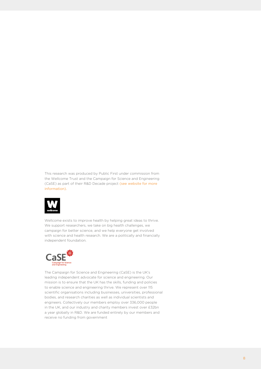This research was produced by Public First under commission from the Wellcome Trust and the Campaign for Science and Engineering (CaSE) as part of their R&D Decade project [\(see website for more](https://wellcome.ac.uk/what-we-do/our-work/our-policy-work-government-investment-research)  [information](https://wellcome.ac.uk/what-we-do/our-work/our-policy-work-government-investment-research)).



Wellcome exists to improve health by helping great ideas to thrive. We support researchers, we take on big health challenges, we campaign for better science, and we help everyone get involved with science and health research. We are a politically and financially independent foundation.



The Campaign for Science and Engineering (CaSE) is the UK's leading independent advocate for science and engineering. Our mission is to ensure that the UK has the skills, funding and policies to enable science and engineering thrive. We represent over 115 scientific organisations including businesses, universities, professional bodies, and research charities as well as individual scientists and engineers. Collectively our members employ over 336,000 people in the UK, and our industry and charity members invest over £32bn a year globally in R&D. We are funded entirely by our members and receive no funding from government